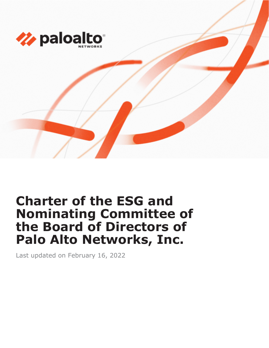

# **Charter of the ESG and Nominating Committee of the Board of Directors of Palo Alto Networks, Inc.**

Last updated on February 16, 2022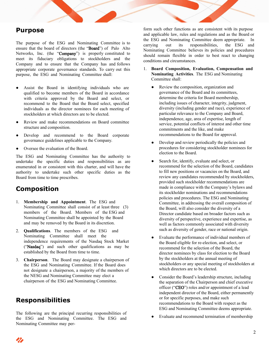#### **Purpose**

The purpose of the ESG and Nominating Committee is to ensure that the board of directors (the "Board") of Palo Alto Networks, Inc. (the "Company") is properly constituted to meet its fiduciary obligations to stockholders and the Company and to ensure that the Company has and follows appropriate corporate governance standards. To carry out this purpose, the ESG and Nominating Committee shall:

- Assist the Board in identifying individuals who are qualified to become members of the Board in accordance with criteria approved by the Board and select, or recommend to the Board that the Board select, specified individuals as the director nominees for each meeting of stockholders at which directors are to be elected.
- Review and make recommendations on Board committee structure and composition.
- Develop and recommend to the Board corporate governance guidelines applicable to the Company.
- Oversee the evaluation of the Board.

The ESG and Nominating Committee has the authority to undertake the specific duties and responsibilities as are enumerated in or consistent with this charter, and will have the authority to undertake such other specific duties as the Board from time to time prescribes.

### **Composition**

- 1. **Membership and Appointment**. The ESG and Nominating Committee shall consist of at least three (3) members of the Board. Members of the ESG and Nominating Committee shall be appointed by the Board and may be removed by the Board in its discretion.
- 2. **Qualifications**. The members of the ESG and Nominating Committee shall meet the independence requirements of the Nasdaq Stock Market ("Nasdaq") and such other qualifications as may be established by the Board from time to time.
- 3. **Chairperson**. The Board may designate a chairperson of the ESG and Nominating Committee. If the Board does not designate a chairperson, a majority of the members of the NESG and Nominating Committee may elect a chairperson of the ESG and Nominating Committee.

### **Responsibilities**

The following are the principal recurring responsibilities of the ESG and Nominating Committee. The ESG and Nominating Committee may perform such other functions as are consistent with its purpose and applicable law, rules and regulations and as the Board or the ESG and Nominating Committee deem appropriate. In carrying out its responsibilities, the ESG and Nominating Committee believes its policies and procedures should remain flexible in order to best react to changing conditions and circumstances.

- 1. **Board Composition, Evaluation, Compensation and Nominating Activities**. The ESG and Nominating Committee shall:
	- Review the composition, organization and governance of the Board and its committees, determine the criteria for Board membership, including issues of character, integrity, judgment, diversity (including gender and race), experience of particular relevance to the Company and Board, independence, age, area of expertise, length of service, potential conflicts of interest and other time commitments and the like, and make recommendations to the Board for approval.
	- Develop and review periodically the policies and procedures for considering stockholder nominees for election to the Board.
	- Search for, identify, evaluate and select, or recommend for the selection of the Board, candidates to fill new positions or vacancies on the Board, and review any candidates recommended by stockholders, provided such stockholder recommendations are made in compliance with the Company's bylaws and its stockholder nominations and recommendations policies and procedures. The ESG and Nominating Committee, in addressing the overall composition of the Board, will also consider the diversity of a Director candidate based on broader factors such as diversity of perspective, experience and expertise, as well as factors commonly associated with diversity such as diversity of gender, race or national origin.
	- Evaluate the performance of individual members of the Board eligible for re-election, and select, or recommend for the selection of the Board, the director nominees by class for election to the Board by the stockholders at the annual meeting of stockholders or any special meeting of stockholders at which directors are to be elected.
	- Consider the Board's leadership structure, including the separation of the Chairperson and chief executive officer ("CEO") roles and/or appointment of a lead independent director of the Board, either permanently or for specific purposes, and make such recommendations to the Board with respect as the ESG and Nominating Committee deems appropriate.
	- Evaluate and recommend termination of membership

Z)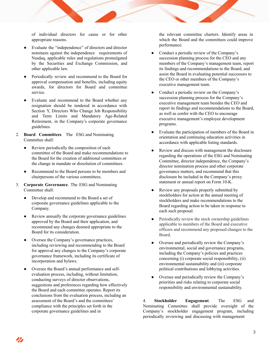of individual directors for cause or for other appropriate reasons.

- Evaluate the "independence" of directors and director nominees against the independence requirements of Nasdaq, applicable rules and regulations promulgated by the Securities and Exchange Commission, and other applicable law.
- Periodically review and recommend to the Board for approval compensation and benefits, including equity awards, for directors for Board and committee service.
- Evaluate and recommend to the Board whether any resignation should be tendered in accordance with Section Y, Directors Who Change Job Responsibility and Term Limits and Mandatory Age-Related Retirement, in the Company's corporate governance guidelines.
- 2. **Board Committees**. The ESG and Nominating Committee shall:
	- Review periodically the composition of each committee of the Board and make recommendations to the Board for the creation of additional committees or the change in mandate or dissolution of committees.
	- Recommend to the Board persons to be members and chairpersons of the various committees.
- 3. **Corporate Governance**. The ESG and Nominating Committee shall:
	- Develop and recommend to the Board a set of corporate governance guidelines applicable to the Company.
	- Review annually the corporate governance guidelines approved by the Board and their application, and recommend any changes deemed appropriate to the Board for its consideration.
	- Oversee the Company's governance practices, including reviewing and recommending to the Board for approval any changes to the Company's corporate governance framework, including its certificate of incorporation and bylaws.
	- Oversee the Board's annual performance and selfevaluation process, including, without limitation, conducting surveys of director observations, suggestions and preferences regarding how effectively the Board and each committee operates. Report its conclusions from the evaluation process, including an assessment of the Board's and the committees' compliance with the principles set forth in the corporate governance guidelines and in

the relevant committee charters. Identify areas in which the Board and the committees could improve performance.

- Conduct a periodic review of the Company's succession planning process for the CEO and any members of the Company's management team, report its findings and recommendations to the Board, and assist the Board in evaluating potential successors to the CEO or other members of the Company's executive management team.
- Conduct a periodic review on the Company's succession planning process for the Company's executive management team besides the CEO and report its findings and recommendations to the Board, as well as confer with the CEO to encourage executive management's employee development programs.
- Evaluate the participation of members of the Board in orientation and continuing education activities in accordance with applicable listing standards.
- Review and discuss with management the disclosure regarding the operations of the ESG and Nominating Committee, director independence, the Company's director nomination process and other corporate governance matters, and recommend that this disclosure be included in the Company's proxy statement or annual report on Form 10-K.
- Review any proposals properly submitted by stockholders for action at the annual meeting of stockholders and make recommendations to the Board regarding action to be taken in response to each such proposal.
- Periodically review the stock ownership guidelines applicable to members of the Board and executive officers and recommend any proposed changes to the Board.
- Oversee and periodically review the Company's environmental, social and governance programs, including the Company's policies and practices concerning (i) corporate social responsibility, (ii) environmental sustainability and (iii) corporate political contributions and lobbying activities.
- Oversee and periodically review the Company's priorities and risks relating to corporate social responsibility and environmental sustainability.

4. **Stockholder Engagement**. The ESG and Nominating Committee shall provide oversight of the Company's stockholder engagement program, including periodically reviewing and discussing with management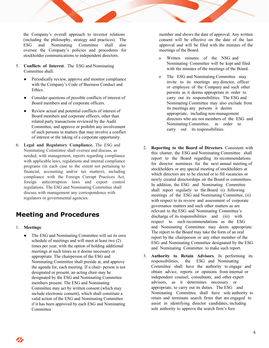the Company's overall approach to investor relations (including the philosophy, strategy and practices). The ESG and Nominating Committee shall also oversee the Company's policies and procedures for stockholder communications to independent directors.

- 5. **Conflicts of Interest**. The ESG and Nominating Committee shall:
	- Periodically review, approve and monitor compliance with the Company's Code of Business Conduct and Ethics.
	- Consider questions of possible conflicts of interest of Board members and of corporate officers.
	- Review actual and potential conflicts of interest of Board members and corporate officers, other than related party transactions reviewed by the Audit Committee, and approve or prohibit any involvement of such persons in matters that may involve a conflict of interest or the taking of a corporate opportunity.
- 6. **Legal and Regulatory Compliance.** The ESG and Nominating Committee shall oversee and discuss, as needed, with management, reports regarding compliance with applicable laws, regulations and internal compliance programs (in each case to the extent not pertaining to financial, accounting and/or tax matters), including compliance with the Foreign Corrupt Practices Act, foreign anticorruption laws and export control regulations. The ESG and Nominating Committee shall discuss with management any correspondence with regulators or governmental agencies.

## **Meeting and Procedures**

- 1. **Meetings**:
	- The ESG and Nominating Committee will set its own schedule of meetings and will meet at least two (2) times per year, with the option of holding additional meetings at such times as it deems necessary or appropriate. The chairperson of the ESG and Nominating Committee shall preside at, and approve the agenda for, each meeting. If a chair- person is not designated or present, an acting chair may be designated by the ESG and Nominating Committee members present. The ESG and Nominating Committee may act by written consent (which may include electronic consent), which shall constitute a valid action of the ESG and Nominating Committee if it has been approved by each ESG and Nominating Committee

member and shows the date of approval. Any written consent will be effective on the date of the last approval and will be filed with the minutes of the meetings of the Board.

- o Written minutes of the NSG and Nominating Committee will be kept and filed with the minutes of the meetings of the Board.
- o The ESG and Nominating Committee may invite to its meetings any director, officer or employee of the Company and such other persons as it deems appropriate in order to carry out its responsibilities. The ESG and Nominating Committee may also exclude from its meetings any persons it deems appropriate, including non-management directors who are not members of the ESG and Nominating Committee, in order to carry out its responsibilities.
- 2. **Reporting to the Board of Directors**. Consistent with this charter, the ESG and Nominating Committee shall report to the Board regarding its recommendations for director nominees for the next annual meeting of stockholders or any special meeting of stockholders at which directors are to be elected or to fill vacancies or newly created directorships on the Board or committees. In addition, the ESG and Nominating Committee shall report regularly to the Board (i) following meetings of the ESG and Nominating Committee, (ii) with respect to its review and assessment of corporate governance matters and such other matters as are relevant to the ESG and Nominating Committee's discharge of its responsibilities and (iii) with respect to such recommendations as the ESG and Nominating Committee may deem appropriate. The report to the Board may take the form of an oral report by the chairperson or any other member of the ESG and Nominating Committee designated by the ESG and Nominating Committee to make such report.
- 3. **Authority to Retain Advisors**. In performing its responsibilities, the ESG and Nominating Committee shall have the authority to engage and obtain advice, reports or opinions from internal or independent counsel, consultants, and other expert advisors, as it determines necessary or appropriate, to carry out its duties. The ESG and Nominating Committee shall have sole authority to retain and terminate search firms that are engaged to assist in identifying director candidates, including sole authority to approve the search firm's fees